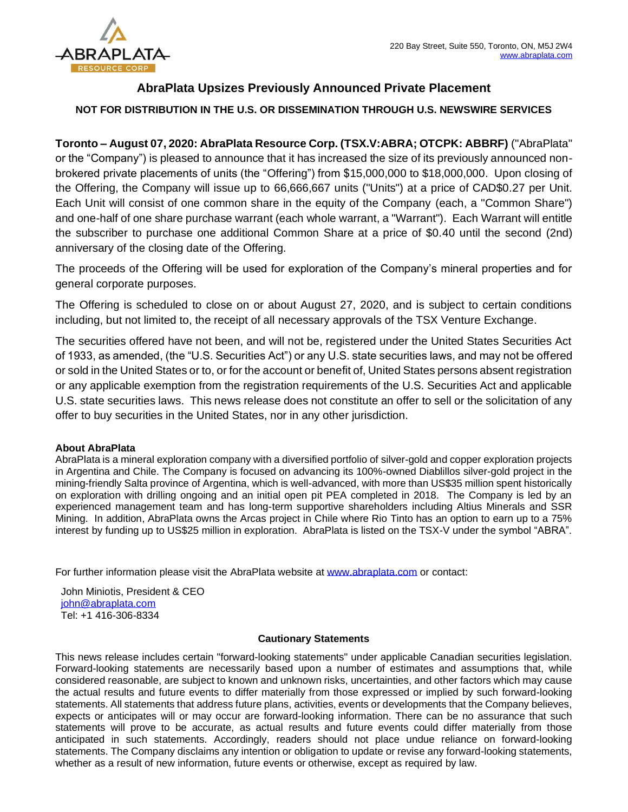

## **AbraPlata Upsizes Previously Announced Private Placement**

## **NOT FOR DISTRIBUTION IN THE U.S. OR DISSEMINATION THROUGH U.S. NEWSWIRE SERVICES**

**Toronto – August 07, 2020: AbraPlata Resource Corp. (TSX.V:ABRA; OTCPK: ABBRF)** ("AbraPlata" or the "Company") is pleased to announce that it has increased the size of its previously announced nonbrokered private placements of units (the "Offering") from \$15,000,000 to \$18,000,000. Upon closing of the Offering, the Company will issue up to 66,666,667 units ("Units") at a price of CAD\$0.27 per Unit. Each Unit will consist of one common share in the equity of the Company (each, a "Common Share") and one-half of one share purchase warrant (each whole warrant, a "Warrant"). Each Warrant will entitle the subscriber to purchase one additional Common Share at a price of \$0.40 until the second (2nd) anniversary of the closing date of the Offering.

The proceeds of the Offering will be used for exploration of the Company's mineral properties and for general corporate purposes.

The Offering is scheduled to close on or about August 27, 2020, and is subject to certain conditions including, but not limited to, the receipt of all necessary approvals of the TSX Venture Exchange.

The securities offered have not been, and will not be, registered under the United States Securities Act of 1933, as amended, (the "U.S. Securities Act") or any U.S. state securities laws, and may not be offered or sold in the United States or to, or for the account or benefit of, United States persons absent registration or any applicable exemption from the registration requirements of the U.S. Securities Act and applicable U.S. state securities laws. This news release does not constitute an offer to sell or the solicitation of any offer to buy securities in the United States, nor in any other jurisdiction.

## **About AbraPlata**

AbraPlata is a mineral exploration company with a diversified portfolio of silver-gold and copper exploration projects in Argentina and Chile. The Company is focused on advancing its 100%-owned Diablillos silver-gold project in the mining-friendly Salta province of Argentina, which is well-advanced, with more than US\$35 million spent historically on exploration with drilling ongoing and an initial open pit PEA completed in 2018. The Company is led by an experienced management team and has long-term supportive shareholders including Altius Minerals and SSR Mining. In addition, AbraPlata owns the Arcas project in Chile where Rio Tinto has an option to earn up to a 75% interest by funding up to US\$25 million in exploration. AbraPlata is listed on the TSX-V under the symbol "ABRA".

For further information please visit the AbraPlata website at [www.abraplata.com](about:blank) or contact:

John Miniotis, President & CEO [john@abraplata.com](about:blank) Tel: +1 416-306-8334

## **Cautionary Statements**

This news release includes certain "forward-looking statements" under applicable Canadian securities legislation. Forward-looking statements are necessarily based upon a number of estimates and assumptions that, while considered reasonable, are subject to known and unknown risks, uncertainties, and other factors which may cause the actual results and future events to differ materially from those expressed or implied by such forward-looking statements. All statements that address future plans, activities, events or developments that the Company believes, expects or anticipates will or may occur are forward-looking information. There can be no assurance that such statements will prove to be accurate, as actual results and future events could differ materially from those anticipated in such statements. Accordingly, readers should not place undue reliance on forward-looking statements. The Company disclaims any intention or obligation to update or revise any forward-looking statements, whether as a result of new information, future events or otherwise, except as required by law.